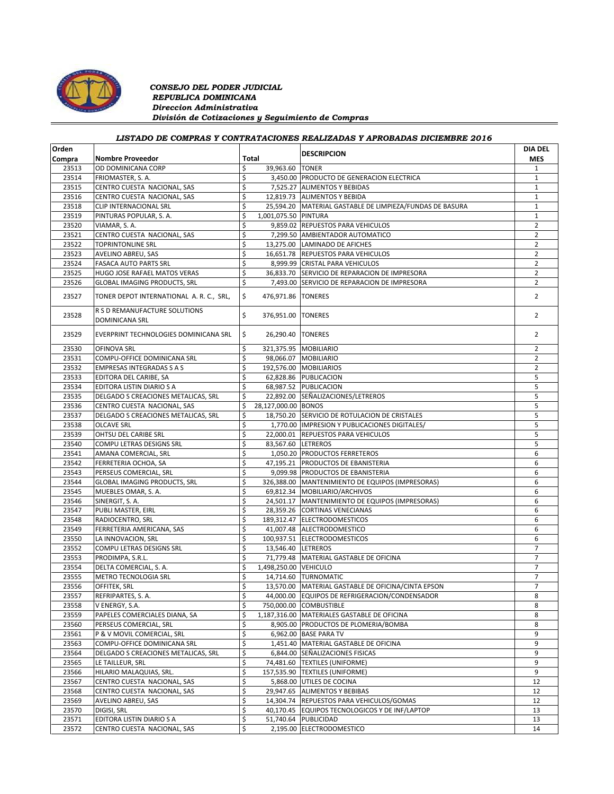

## *CONSEJO DEL PODER JUDICIAL REPUBLICA DOMINICANA Direccion Administrativa División de Cotizaciones y Seguimiento de Compras*

## *LISTADO DE COMPRAS Y CONTRATACIONES REALIZADAS Y APROBADAS DICIEMBRE 2016*

| Orden  |                                                        |                             | <b>DESCRIPCION</b>                                       | <b>DIA DEL</b> |
|--------|--------------------------------------------------------|-----------------------------|----------------------------------------------------------|----------------|
| Compra | <b>Nombre Proveedor</b>                                | Total                       |                                                          | <b>MES</b>     |
| 23513  | OD DOMINICANA CORP                                     | \$<br>39,963.60             | <b>TONER</b>                                             | 1              |
| 23514  | FRIOMASTER, S. A.                                      | \$                          | 3,450.00 PRODUCTO DE GENERACION ELECTRICA                | $1\,$          |
| 23515  | CENTRO CUESTA NACIONAL, SAS                            | \$                          | 7,525.27 ALIMENTOS Y BEBIDAS                             | $\mathbf{1}$   |
| 23516  | CENTRO CUESTA NACIONAL, SAS                            | \$                          | 12,819.73 ALIMENTOS Y BEBIDA                             | $\mathbf{1}$   |
| 23518  | CLIP INTERNACIONAL SRL                                 | \$                          | 25,594.20 MATERIAL GASTABLE DE LIMPIEZA/FUNDAS DE BASURA | 1              |
| 23519  | PINTURAS POPULAR, S. A.                                | \$<br>1,001,075.50 PINTURA  |                                                          | $\mathbf{1}$   |
| 23520  | VIAMAR, S. A.                                          | \$                          | 9,859.02 REPUESTOS PARA VEHICULOS                        | $\overline{2}$ |
| 23521  | CENTRO CUESTA NACIONAL, SAS                            | \$                          | 7,299.50 AMBIENTADOR AUTOMATICO                          | $\overline{2}$ |
| 23522  | <b>TOPRINTONLINE SRL</b>                               | \$                          | 13,275.00 LAMINADO DE AFICHES                            | $\overline{2}$ |
| 23523  | AVELINO ABREU, SAS                                     | \$                          | 16,651.78 REPUESTOS PARA VEHICULOS                       | $\overline{2}$ |
| 23524  | <b>FASACA AUTO PARTS SRL</b>                           | \$                          | 8,999.99 CRISTAL PARA VEHICULOS                          | $\overline{2}$ |
| 23525  | HUGO JOSE RAFAEL MATOS VERAS                           | \$                          | 36,833.70 SERVICIO DE REPARACION DE IMPRESORA            | $\overline{2}$ |
| 23526  | <b>GLOBAL IMAGING PRODUCTS, SRL</b>                    | \$                          | 7,493.00 SERVICIO DE REPARACION DE IMPRESORA             | $\overline{2}$ |
|        |                                                        |                             |                                                          |                |
| 23527  | TONER DEPOT INTERNATIONAL A. R. C., SRL,               | \$<br>476,971.86 TONERES    |                                                          | $\overline{2}$ |
| 23528  | R S D REMANUFACTURE SOLUTIONS<br><b>DOMINICANA SRL</b> | \$<br>376,951.00 TONERES    |                                                          | $\overline{2}$ |
| 23529  | EVERPRINT TECHNOLOGIES DOMINICANA SRL                  | \$<br>26,290.40 TONERES     |                                                          | $\overline{2}$ |
| 23530  | OFINOVA SRL                                            | \$                          | 321,375.95 MOBILIARIO                                    | $\overline{2}$ |
| 23531  | COMPU-OFFICE DOMINICANA SRL                            | \$                          | 98,066.07 MOBILIARIO                                     | $\overline{2}$ |
| 23532  | <b>EMPRESAS INTEGRADAS S A S</b>                       | \$                          | 192,576.00 MOBILIARIOS                                   | $\overline{2}$ |
| 23533  | EDITORA DEL CARIBE, SA                                 | \$                          | 62,828.86 PUBLICACION                                    | 5              |
| 23534  | EDITORA LISTIN DIARIO S A                              | \$                          | 68,987.52 PUBLICACION                                    | 5              |
| 23535  | DELGADO S CREACIONES METALICAS, SRL                    | \$                          | 22,892.00 SEÑALIZACIONES/LETREROS                        | 5              |
| 23536  | CENTRO CUESTA NACIONAL, SAS                            | \$<br>28,127,000.00 BONOS   |                                                          | 5              |
| 23537  | DELGADO S CREACIONES METALICAS, SRL                    | \$                          | 18,750.20 SERVICIO DE ROTULACION DE CRISTALES            | 5              |
| 23538  | <b>OLCAVE SRL</b>                                      | \$                          | 1,770.00  IMPRESION Y PUBLICACIONES DIGITALES/           | 5              |
| 23539  | OHTSU DEL CARIBE SRL                                   | \$                          | 22,000.01 REPUESTOS PARA VEHICULOS                       | 5              |
| 23540  | COMPU LETRAS DESIGNS SRL                               | \$                          | 83,567.60 LETREROS                                       | 5              |
| 23541  | AMANA COMERCIAL, SRL                                   | \$                          | 1,050.20 PRODUCTOS FERRETEROS                            | 6              |
| 23542  | FERRETERIA OCHOA, SA                                   | \$                          | 47,195.21 PRODUCTOS DE EBANISTERIA                       | 6              |
|        |                                                        |                             |                                                          |                |
| 23543  | PERSEUS COMERCIAL, SRL                                 | \$                          | 9,099.98 PRODUCTOS DE EBANISTERIA                        | 6              |
| 23544  | <b>GLOBAL IMAGING PRODUCTS, SRL</b>                    | \$                          | 326,388.00 MANTENIMIENTO DE EQUIPOS (IMPRESORAS)         | 6              |
| 23545  | MUEBLES OMAR, S. A.                                    | \$                          | 69,812.34 MOBILIARIO/ARCHIVOS                            | 6              |
| 23546  | SINERGIT, S. A.                                        | \$                          | 24,501.17 MANTENIMIENTO DE EQUIPOS (IMPRESORAS)          | 6              |
| 23547  | PUBLI MASTER, EIRL                                     | \$                          | 28,359.26 CORTINAS VENECIANAS                            | 6              |
| 23548  | RADIOCENTRO, SRL                                       | \$                          | 189,312.47 ELECTRODOMESTICOS                             | 6              |
| 23549  | FERRETERIA AMERICANA, SAS                              | \$                          | 41,007.48 ALECTRODOMESTICO                               | 6              |
| 23550  | LA INNOVACION, SRL                                     | \$                          | 100,937.51 ELECTRODOMESTICOS                             | 6              |
| 23552  | COMPU LETRAS DESIGNS SRL                               | \$<br>13,546.40 LETREROS    |                                                          | 7              |
| 23553  | PRODIMPA, S.R.L.                                       | \$                          | 71,779.48 MATERIAL GASTABLE DE OFICINA                   | $\overline{7}$ |
| 23554  | DELTA COMERCIAL, S. A.                                 | \$<br>1,498,250.00 VEHICULO |                                                          | $\overline{7}$ |
| 23555  | METRO TECNOLOGIA SRL                                   | \$                          | 14,714.60 TURNOMATIC                                     | $\overline{7}$ |
| 23556  | OFFITEK, SRL                                           | \$                          | 13,570.00 MATERIAL GASTABLE DE OFICINA/CINTA EPSON       | $\overline{7}$ |
| 23557  | REFRIPARTES, S. A.                                     | \$                          | 44,000.00 EQUIPOS DE REFRIGERACION/CONDENSADOR           | 8              |
| 23558  | V ENERGY, S.A.                                         | \$                          | 750,000.00 COMBUSTIBLE                                   | 8              |
| 23559  | PAPELES COMERCIALES DIANA, SA                          | \$                          | 1,187,316.00 MATERIALES GASTABLE DE OFICINA              | 8              |
| 23560  | PERSEUS COMERCIAL, SRL                                 | \$                          | 8,905.00 PRODUCTOS DE PLOMERIA/BOMBA                     | 8              |
| 23561  | P & V MOVIL COMERCIAL, SRL                             | \$                          | 6,962.00 BASE PARA TV                                    | 9              |
| 23563  | COMPU-OFFICE DOMINICANA SRL                            | \$                          | 1,451.40 MATERIAL GASTABLE DE OFICINA                    | 9              |
| 23564  | DELGADO S CREACIONES METALICAS, SRL                    | \$                          | 6,844.00 SEÑALIZACIONES FISICAS                          | 9              |
| 23565  | LE TAILLEUR, SRL                                       | \$                          | 74,481.60 TEXTILES (UNIFORME)                            | 9              |
| 23566  | HILARIO MALAQUIAS, SRL.                                | \$                          | 157,535.90 TEXTILES (UNIFORME)                           | 9              |
| 23567  | CENTRO CUESTA NACIONAL, SAS                            | \$                          | 5,868.00 UTILES DE COCINA                                | 12             |
| 23568  | CENTRO CUESTA NACIONAL, SAS                            | \$                          | 29,947.65 ALIMENTOS Y BEBIBAS                            | 12             |
| 23569  | AVELINO ABREU, SAS                                     | \$                          | 14,304.74 REPUESTOS PARA VEHICULOS/GOMAS                 | 12             |
| 23570  | DIGISI, SRL                                            | \$                          | 40,170.45 EQUIPOS TECNOLOGICOS Y DE INF/LAPTOP           | 13             |
|        |                                                        |                             |                                                          |                |
| 23571  | EDITORA LISTIN DIARIO S A                              | \$                          | 51,740.64 PUBLICIDAD                                     | 13             |
| 23572  | CENTRO CUESTA NACIONAL, SAS                            | \$                          | 2,195.00 ELECTRODOMESTICO                                | 14             |